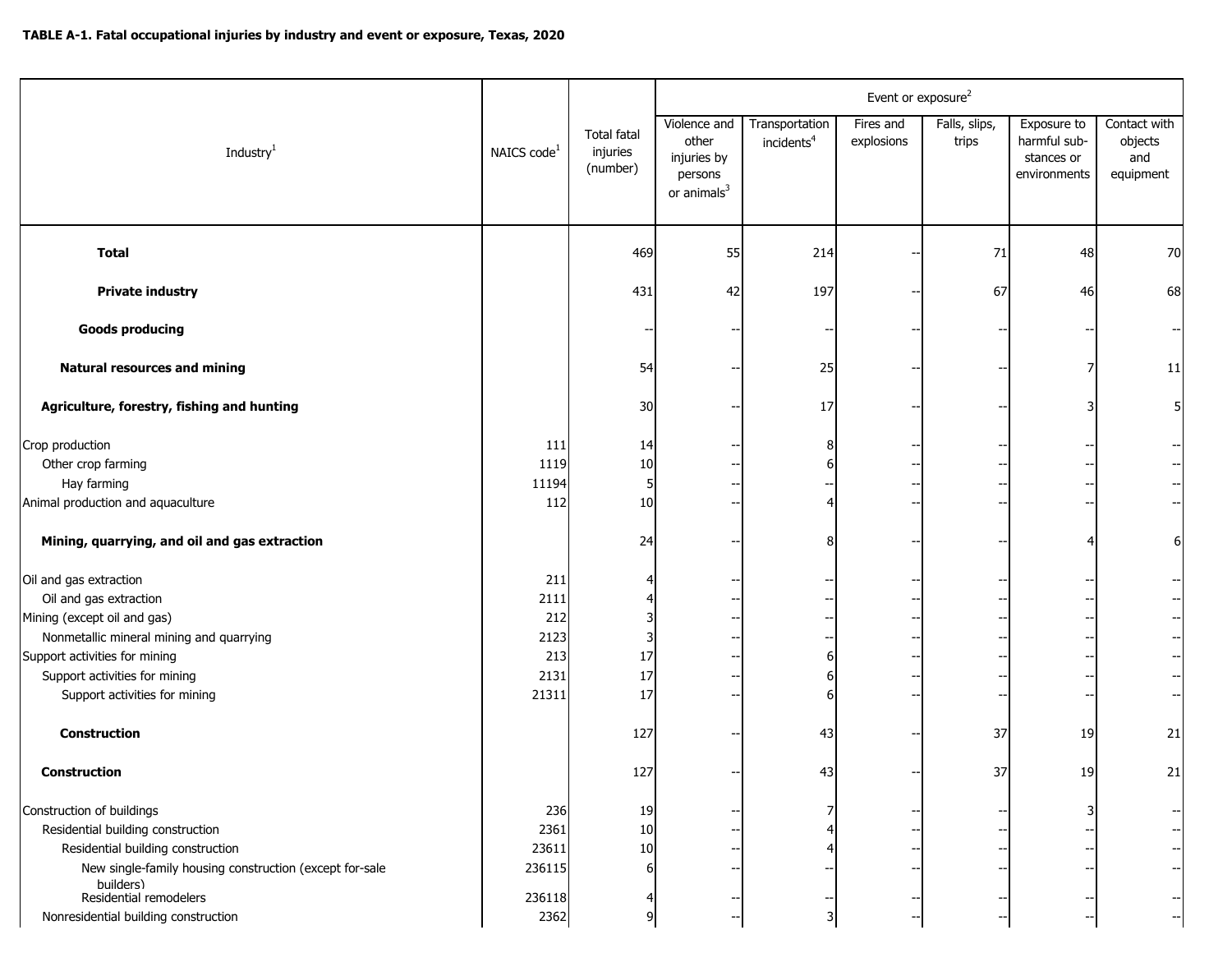|                                                                                                                                                                                                                                |                                                    |                                            | Event or exposure <sup>2</sup>                                             |                                          |                         |                        |                                                           |                                             |  |  |  |
|--------------------------------------------------------------------------------------------------------------------------------------------------------------------------------------------------------------------------------|----------------------------------------------------|--------------------------------------------|----------------------------------------------------------------------------|------------------------------------------|-------------------------|------------------------|-----------------------------------------------------------|---------------------------------------------|--|--|--|
| Industry <sup>1</sup>                                                                                                                                                                                                          | NAICS code <sup>1</sup>                            | <b>Total fatal</b><br>injuries<br>(number) | Violence and<br>other<br>injuries by<br>persons<br>or animals <sup>3</sup> | Transportation<br>incidents <sup>4</sup> | Fires and<br>explosions | Falls, slips,<br>trips | Exposure to<br>harmful sub-<br>stances or<br>environments | Contact with<br>objects<br>and<br>equipment |  |  |  |
| <b>Total</b>                                                                                                                                                                                                                   |                                                    | 469                                        | 55                                                                         | 214                                      |                         | 71                     | 48                                                        | 70                                          |  |  |  |
| <b>Private industry</b>                                                                                                                                                                                                        |                                                    | 431                                        | 42                                                                         | 197                                      |                         | 67                     | 46                                                        | 68                                          |  |  |  |
| <b>Goods producing</b>                                                                                                                                                                                                         |                                                    |                                            |                                                                            |                                          |                         |                        |                                                           |                                             |  |  |  |
| <b>Natural resources and mining</b>                                                                                                                                                                                            |                                                    | 54                                         |                                                                            | 25                                       |                         |                        |                                                           | 11                                          |  |  |  |
| Agriculture, forestry, fishing and hunting                                                                                                                                                                                     |                                                    | 30                                         |                                                                            | 17                                       |                         |                        |                                                           | 5                                           |  |  |  |
| Crop production<br>Other crop farming<br>Hay farming<br>Animal production and aquaculture                                                                                                                                      | 111<br>1119<br>11194<br>112                        | 14<br>10<br>5<br>10                        |                                                                            |                                          |                         |                        |                                                           | $\overline{\phantom{a}}$                    |  |  |  |
| Mining, quarrying, and oil and gas extraction                                                                                                                                                                                  |                                                    | 24                                         |                                                                            |                                          |                         |                        |                                                           | 6                                           |  |  |  |
| Oil and gas extraction<br>Oil and gas extraction<br>Mining (except oil and gas)<br>Nonmetallic mineral mining and quarrying<br>Support activities for mining<br>Support activities for mining<br>Support activities for mining | 211<br>2111<br>212<br>2123<br>213<br>2131<br>21311 | 17<br>17<br>17                             |                                                                            | 6<br>6<br>6                              |                         |                        |                                                           | $-\!$ –<br>$\overline{\phantom{a}}$         |  |  |  |
| <b>Construction</b>                                                                                                                                                                                                            |                                                    | 127                                        |                                                                            | 43                                       |                         | 37                     | 19                                                        | 21                                          |  |  |  |
| <b>Construction</b>                                                                                                                                                                                                            |                                                    | 127                                        |                                                                            | 43                                       |                         | 37                     | 19                                                        | 21                                          |  |  |  |
| Construction of buildings<br>Residential building construction<br>Residential building construction<br>New single-family housing construction (except for-sale<br>builders)<br>Residential remodelers                          | 236<br>2361<br>23611<br>236115<br>236118           | 19<br>10<br>10                             |                                                                            |                                          |                         |                        |                                                           | $\overline{\phantom{a}}$                    |  |  |  |
| Nonresidential building construction                                                                                                                                                                                           | 2362                                               | q                                          |                                                                            | 3                                        |                         |                        |                                                           |                                             |  |  |  |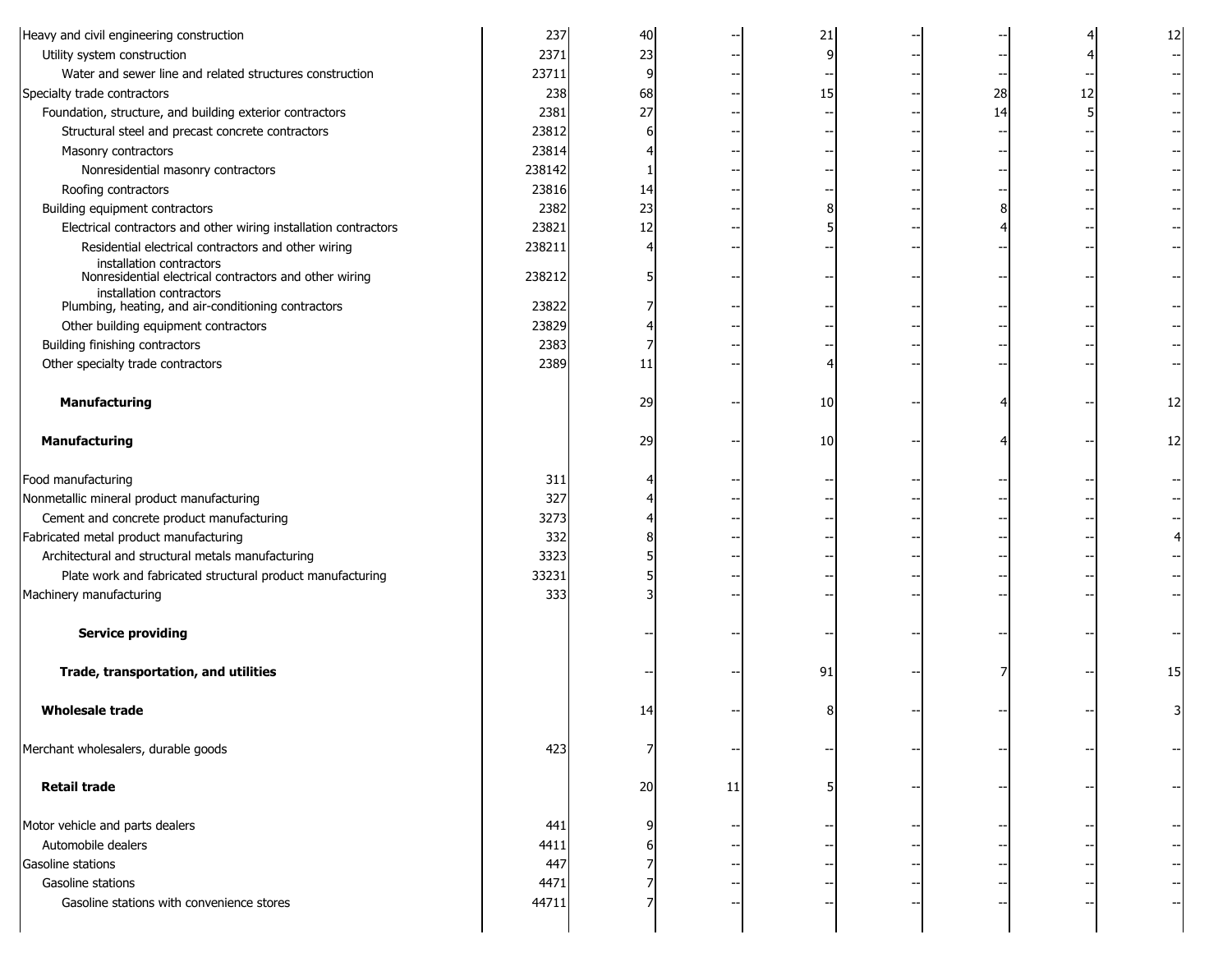| Heavy and civil engineering construction                         | 237    | 40 |    | 21 |    |    |    |
|------------------------------------------------------------------|--------|----|----|----|----|----|----|
| Utility system construction                                      | 2371   | 23 |    |    |    |    |    |
| Water and sewer line and related structures construction         | 23711  | 9  |    |    |    |    |    |
| Specialty trade contractors                                      | 238    | 68 |    | 15 | 28 | 12 |    |
| Foundation, structure, and building exterior contractors         | 2381   | 27 |    |    | 14 |    |    |
| Structural steel and precast concrete contractors                | 23812  |    |    |    |    |    |    |
| Masonry contractors                                              | 23814  |    |    |    |    |    |    |
| Nonresidential masonry contractors                               | 238142 |    |    |    |    |    |    |
| Roofing contractors                                              | 23816  | 14 |    |    |    |    |    |
| Building equipment contractors                                   | 2382   | 23 |    |    |    |    |    |
| Electrical contractors and other wiring installation contractors | 23821  | 12 |    |    |    |    |    |
| Residential electrical contractors and other wiring              | 238211 |    |    |    |    |    |    |
| installation contractors                                         |        |    |    |    |    |    |    |
| Nonresidential electrical contractors and other wiring           | 238212 |    |    |    |    |    |    |
| installation contractors                                         |        |    |    |    |    |    |    |
| Plumbing, heating, and air-conditioning contractors              | 23822  |    |    |    |    |    |    |
| Other building equipment contractors                             | 23829  |    |    |    |    |    |    |
| Building finishing contractors                                   | 2383   |    |    |    |    |    |    |
| Other specialty trade contractors                                | 2389   | 11 |    |    |    |    |    |
|                                                                  |        |    |    |    |    |    |    |
| <b>Manufacturing</b>                                             |        | 29 |    | 10 |    |    | 12 |
|                                                                  |        |    |    |    |    |    |    |
| <b>Manufacturing</b>                                             |        | 29 |    | 10 |    |    | 12 |
|                                                                  |        |    |    |    |    |    |    |
| Food manufacturing                                               | 311    |    |    |    |    |    |    |
| Nonmetallic mineral product manufacturing                        | 327    |    |    |    |    |    |    |
| Cement and concrete product manufacturing                        | 3273   |    |    |    |    |    |    |
| Fabricated metal product manufacturing                           | 332    |    |    |    |    |    |    |
| Architectural and structural metals manufacturing                | 3323   |    |    |    |    |    |    |
| Plate work and fabricated structural product manufacturing       | 33231  |    |    |    |    |    |    |
| Machinery manufacturing                                          | 333    |    |    |    |    |    |    |
|                                                                  |        |    |    |    |    |    |    |
| <b>Service providing</b>                                         |        |    |    |    |    |    |    |
|                                                                  |        |    |    |    |    |    |    |
| Trade, transportation, and utilities                             |        |    |    | 91 |    |    | 15 |
|                                                                  |        |    |    |    |    |    |    |
| <b>Wholesale trade</b>                                           |        | 14 |    |    |    |    |    |
|                                                                  |        |    |    |    |    |    |    |
| Merchant wholesalers, durable goods                              | 423    |    |    |    |    |    |    |
|                                                                  |        |    | -- |    |    |    |    |
|                                                                  |        |    |    |    |    |    |    |
| <b>Retail trade</b>                                              |        | 20 | 11 |    |    |    |    |
|                                                                  |        |    |    |    |    |    |    |
| Motor vehicle and parts dealers                                  | 441    |    |    |    |    |    |    |
| Automobile dealers                                               | 4411   |    |    |    |    |    |    |
| Gasoline stations                                                | 447    |    |    |    |    |    |    |
| Gasoline stations                                                | 4471   |    |    |    |    |    |    |
| Gasoline stations with convenience stores                        | 44711  |    |    |    |    |    |    |
|                                                                  |        |    |    |    |    |    |    |
|                                                                  |        |    |    |    |    |    |    |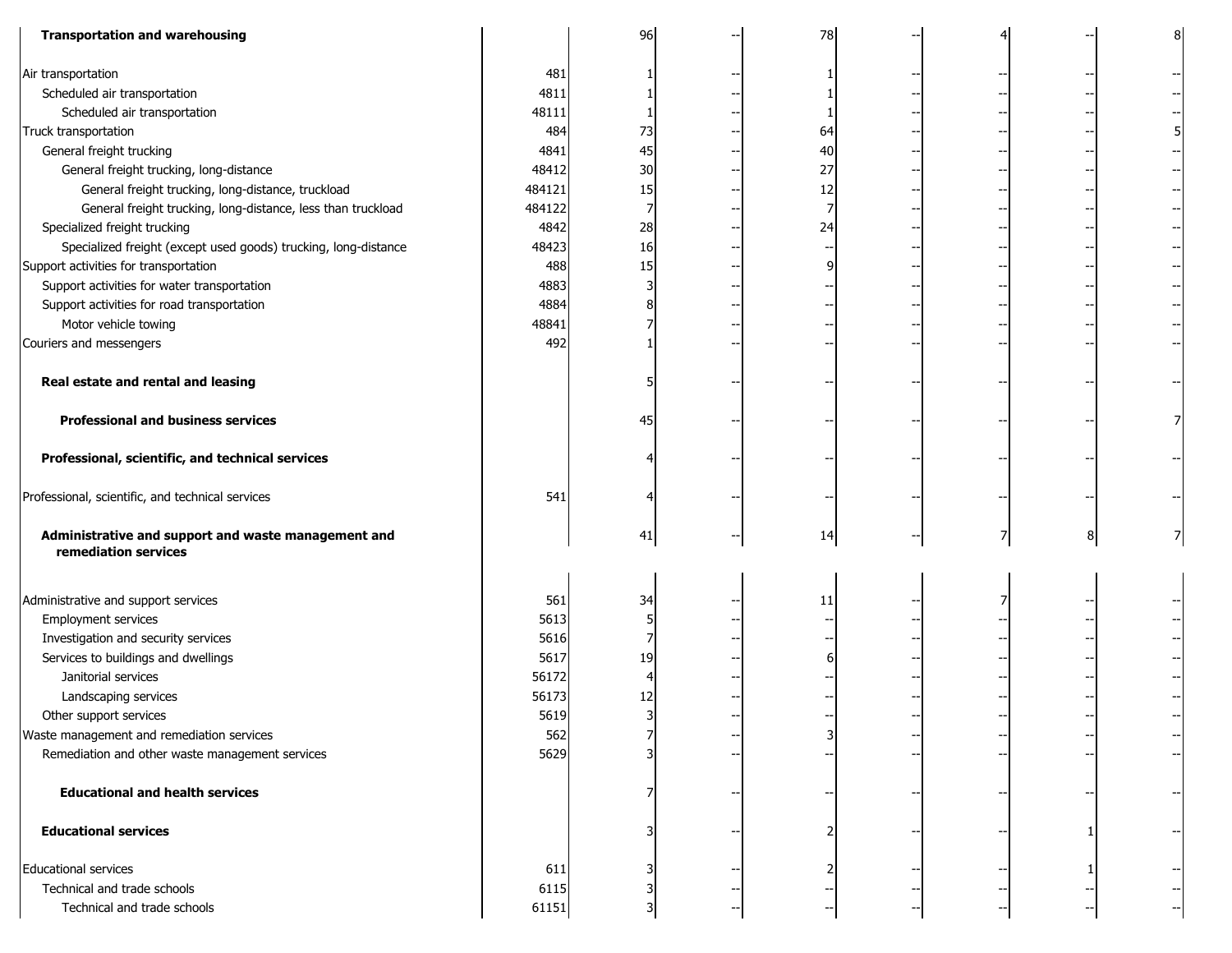| <b>Transportation and warehousing</b>                                       |        | 96 | 78 |  |   |  |
|-----------------------------------------------------------------------------|--------|----|----|--|---|--|
| Air transportation                                                          | 481    |    |    |  |   |  |
| Scheduled air transportation                                                | 4811   |    |    |  |   |  |
| Scheduled air transportation                                                | 48111  |    |    |  |   |  |
| Truck transportation                                                        | 484    | 73 | 64 |  |   |  |
| General freight trucking                                                    | 4841   | 45 | 40 |  |   |  |
| General freight trucking, long-distance                                     | 48412  | 30 | 27 |  |   |  |
| General freight trucking, long-distance, truckload                          | 484121 | 15 | 12 |  |   |  |
| General freight trucking, long-distance, less than truckload                | 484122 | 7  |    |  |   |  |
| Specialized freight trucking                                                | 4842   | 28 | 24 |  |   |  |
| Specialized freight (except used goods) trucking, long-distance             | 48423  | 16 |    |  |   |  |
| Support activities for transportation                                       | 488    | 15 |    |  |   |  |
| Support activities for water transportation                                 | 4883   |    |    |  |   |  |
| Support activities for road transportation                                  | 4884   |    |    |  |   |  |
| Motor vehicle towing                                                        | 48841  |    |    |  |   |  |
| Couriers and messengers                                                     | 492    |    |    |  |   |  |
|                                                                             |        |    |    |  |   |  |
| Real estate and rental and leasing                                          |        |    |    |  |   |  |
| <b>Professional and business services</b>                                   |        | 45 |    |  |   |  |
| Professional, scientific, and technical services                            |        |    |    |  |   |  |
| Professional, scientific, and technical services                            | 541    |    |    |  |   |  |
| Administrative and support and waste management and<br>remediation services |        | 41 | 14 |  | 8 |  |
| Administrative and support services                                         | 561    | 34 | 11 |  |   |  |
| Employment services                                                         | 5613   |    |    |  |   |  |
| Investigation and security services                                         | 5616   |    |    |  |   |  |
| Services to buildings and dwellings                                         | 5617   | 19 |    |  |   |  |
| Janitorial services                                                         | 56172  | 4  |    |  |   |  |
| Landscaping services                                                        | 56173  | 12 |    |  |   |  |
| Other support services                                                      | 5619   | ٦l |    |  |   |  |
| Waste management and remediation services                                   | 562    |    |    |  |   |  |
| Remediation and other waste management services                             | 5629   |    |    |  |   |  |
| <b>Educational and health services</b>                                      |        |    |    |  |   |  |
| <b>Educational services</b>                                                 |        |    |    |  |   |  |
| <b>Educational services</b>                                                 | 611    |    |    |  |   |  |
| Technical and trade schools                                                 | 6115   |    |    |  |   |  |
| Technical and trade schools                                                 | 61151  |    |    |  |   |  |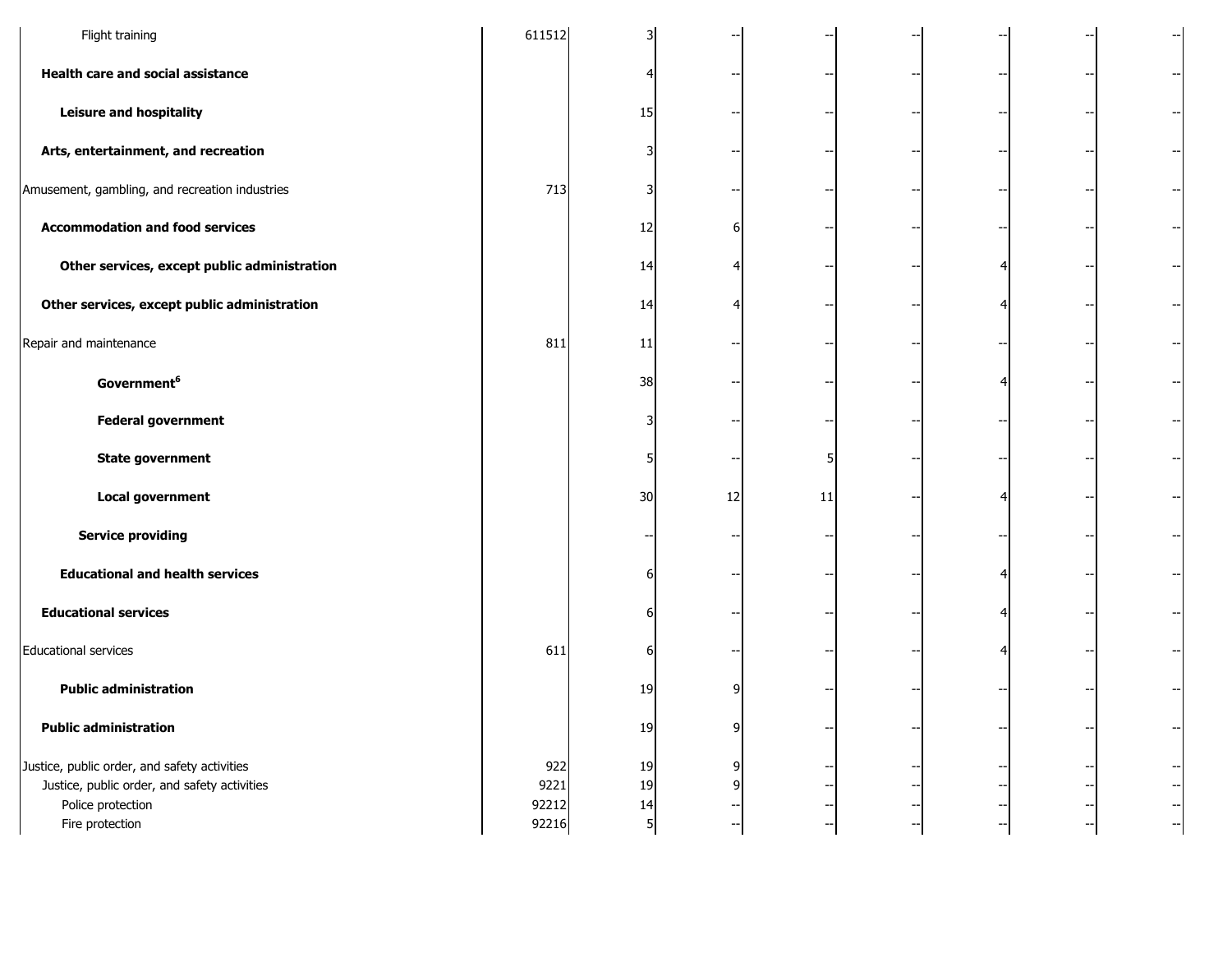| Flight training                                                                                                                      | 611512                        |                     |    |    |                          | --                               |
|--------------------------------------------------------------------------------------------------------------------------------------|-------------------------------|---------------------|----|----|--------------------------|----------------------------------|
| Health care and social assistance                                                                                                    |                               |                     |    |    |                          |                                  |
| <b>Leisure and hospitality</b>                                                                                                       |                               | 15                  |    |    |                          |                                  |
| Arts, entertainment, and recreation                                                                                                  |                               |                     |    |    |                          | --                               |
| Amusement, gambling, and recreation industries                                                                                       | 713                           |                     |    |    |                          |                                  |
| <b>Accommodation and food services</b>                                                                                               |                               | 12                  |    |    |                          |                                  |
| Other services, except public administration                                                                                         |                               | 14                  |    |    |                          |                                  |
| Other services, except public administration                                                                                         |                               | 14                  |    |    |                          | $\overline{\phantom{a}}$         |
| Repair and maintenance                                                                                                               | 811                           | 11                  |    |    |                          |                                  |
| Government <sup>6</sup>                                                                                                              |                               | 38                  |    |    |                          |                                  |
| <b>Federal government</b>                                                                                                            |                               |                     |    |    |                          |                                  |
| <b>State government</b>                                                                                                              |                               |                     |    |    |                          |                                  |
| Local government                                                                                                                     |                               | 30                  | 12 | 11 |                          |                                  |
| <b>Service providing</b>                                                                                                             |                               |                     |    |    |                          |                                  |
| <b>Educational and health services</b>                                                                                               |                               |                     |    |    |                          |                                  |
| <b>Educational services</b>                                                                                                          |                               | 6                   |    |    |                          | $\overline{\phantom{a}}$         |
| <b>Educational services</b>                                                                                                          | 611                           | 6                   |    |    |                          |                                  |
| <b>Public administration</b>                                                                                                         |                               | 19                  |    |    |                          | $\overline{\phantom{a}}$         |
| <b>Public administration</b>                                                                                                         |                               | 19                  | 9  |    |                          | $\overline{\phantom{a}}$         |
| Justice, public order, and safety activities<br>Justice, public order, and safety activities<br>Police protection<br>Fire protection | 922<br>9221<br>92212<br>92216 | 19<br>19<br>14<br>5 |    | -- | $\overline{\phantom{a}}$ | $-\!$<br>$-\!$<br>$-\!$<br>$-\!$ |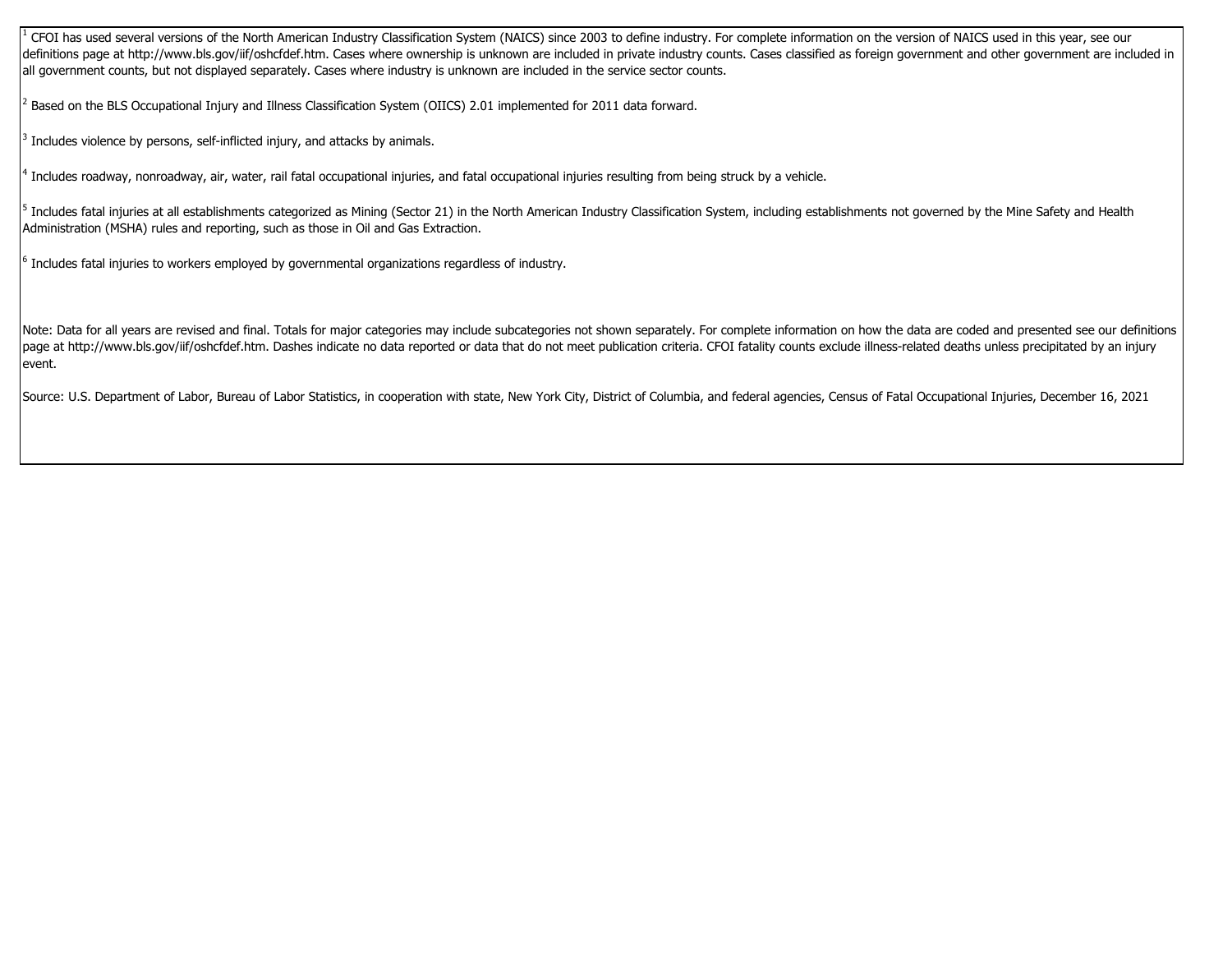$^1$  CFOI has used several versions of the North American Industry Classification System (NAICS) since 2003 to define industry. For complete information on the version of NAICS used in this year, see our definitions page at http://www.bls.gov/iif/oshcfdef.htm. Cases where ownership is unknown are included in private industry counts. Cases classified as foreign government and other government are included in all government counts, but not displayed separately. Cases where industry is unknown are included in the service sector counts.

 $^2$  Based on the BLS Occupational Injury and Illness Classification System (OIICS) 2.01 implemented for 2011 data forward.

 $3$  Includes violence by persons, self-inflicted injury, and attacks by animals.

<sup>4</sup> Includes roadway, nonroadway, air, water, rail fatal occupational injuries, and fatal occupational injuries resulting from being struck by a vehicle.

 $^5$  Includes fatal injuries at all establishments categorized as Mining (Sector 21) in the North American Industry Classification System, including establishments not governed by the Mine Safety and Health Administration (MSHA) rules and reporting, such as those in Oil and Gas Extraction.

 $^6$  Includes fatal injuries to workers employed by governmental organizations regardless of industry.

Note: Data for all years are revised and final. Totals for major categories may include subcategories not shown separately. For complete information on how the data are coded and presented see our definitions page at http://www.bls.gov/iif/oshcfdef.htm. Dashes indicate no data reported or data that do not meet publication criteria. CFOI fatality counts exclude illness-related deaths unless precipitated by an injury event.

Source: U.S. Department of Labor, Bureau of Labor Statistics, in cooperation with state, New York City, District of Columbia, and federal agencies, Census of Fatal Occupational Injuries, December 16, 2021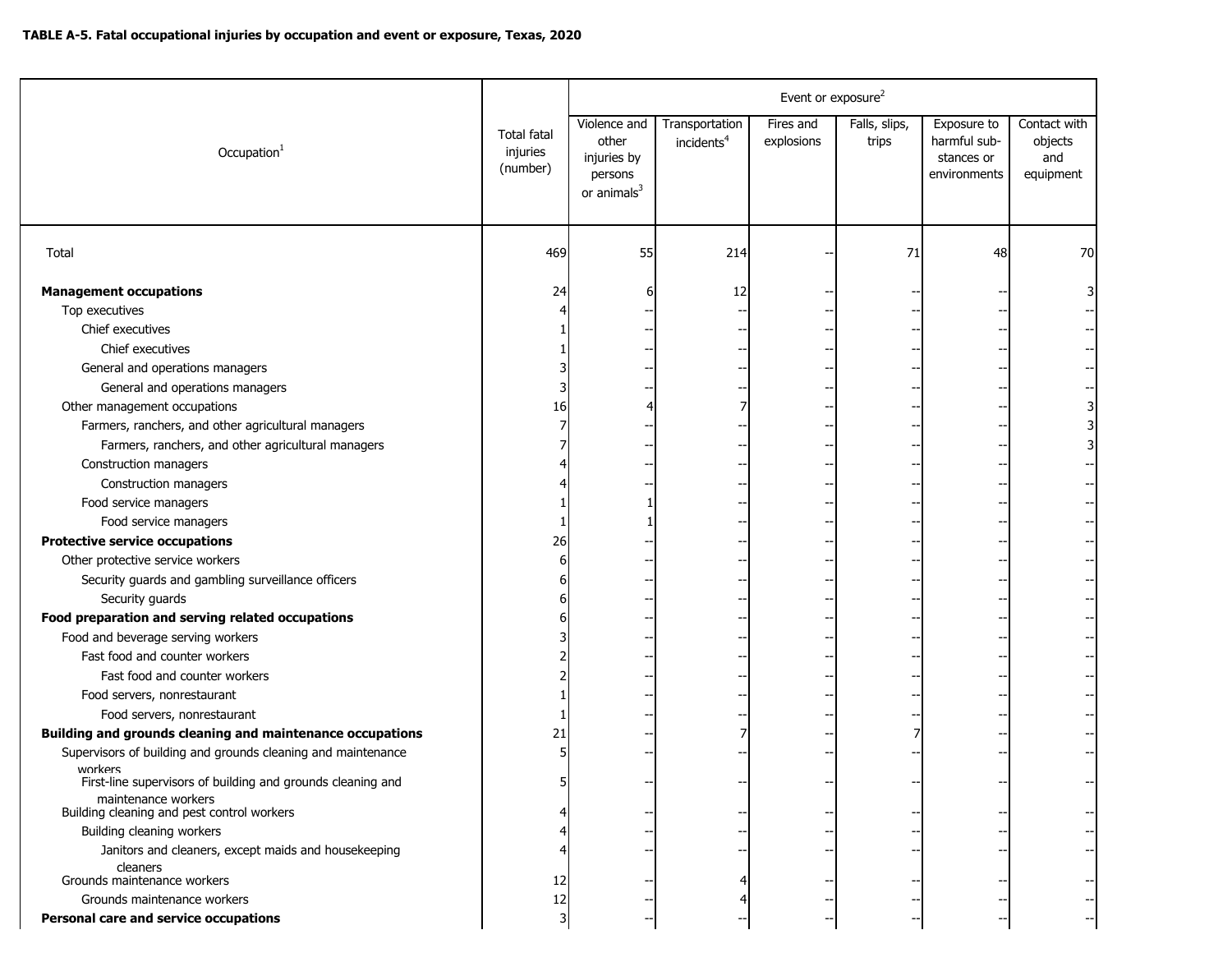|                                                                                    |                                     | Event or exposure <sup>2</sup>                                             |                                          |                         |                        |                                                           |                                             |  |  |  |
|------------------------------------------------------------------------------------|-------------------------------------|----------------------------------------------------------------------------|------------------------------------------|-------------------------|------------------------|-----------------------------------------------------------|---------------------------------------------|--|--|--|
| Occupation <sup>1</sup>                                                            | Total fatal<br>injuries<br>(number) | Violence and<br>other<br>injuries by<br>persons<br>or animals <sup>3</sup> | Transportation<br>incidents <sup>4</sup> | Fires and<br>explosions | Falls, slips,<br>trips | Exposure to<br>harmful sub-<br>stances or<br>environments | Contact with<br>objects<br>and<br>equipment |  |  |  |
| Total                                                                              | 469                                 | 55                                                                         | 214                                      |                         | 71                     | 48                                                        | 70                                          |  |  |  |
| <b>Management occupations</b>                                                      | 24                                  |                                                                            | 12                                       |                         |                        |                                                           |                                             |  |  |  |
| Top executives                                                                     |                                     |                                                                            |                                          |                         |                        |                                                           |                                             |  |  |  |
| Chief executives                                                                   |                                     |                                                                            | $\overline{\phantom{a}}$                 |                         |                        |                                                           |                                             |  |  |  |
| Chief executives                                                                   |                                     |                                                                            |                                          |                         |                        |                                                           |                                             |  |  |  |
| General and operations managers                                                    |                                     |                                                                            |                                          |                         |                        |                                                           |                                             |  |  |  |
| General and operations managers                                                    |                                     |                                                                            |                                          |                         |                        |                                                           |                                             |  |  |  |
| Other management occupations                                                       | 16                                  |                                                                            |                                          |                         |                        |                                                           |                                             |  |  |  |
| Farmers, ranchers, and other agricultural managers                                 |                                     |                                                                            |                                          |                         |                        |                                                           |                                             |  |  |  |
| Farmers, ranchers, and other agricultural managers                                 |                                     |                                                                            |                                          |                         |                        |                                                           |                                             |  |  |  |
| Construction managers                                                              |                                     |                                                                            |                                          |                         |                        |                                                           |                                             |  |  |  |
| Construction managers                                                              |                                     |                                                                            |                                          |                         |                        |                                                           |                                             |  |  |  |
| Food service managers                                                              |                                     |                                                                            |                                          |                         |                        |                                                           |                                             |  |  |  |
| Food service managers                                                              |                                     |                                                                            |                                          |                         |                        |                                                           |                                             |  |  |  |
| <b>Protective service occupations</b>                                              | 26                                  |                                                                            |                                          |                         |                        |                                                           |                                             |  |  |  |
| Other protective service workers                                                   |                                     |                                                                            |                                          |                         |                        |                                                           |                                             |  |  |  |
| Security guards and gambling surveillance officers                                 |                                     |                                                                            |                                          |                         |                        |                                                           |                                             |  |  |  |
| Security guards                                                                    |                                     |                                                                            |                                          |                         |                        |                                                           |                                             |  |  |  |
| Food preparation and serving related occupations                                   |                                     |                                                                            |                                          |                         |                        |                                                           |                                             |  |  |  |
| Food and beverage serving workers                                                  |                                     |                                                                            |                                          |                         |                        |                                                           |                                             |  |  |  |
| Fast food and counter workers                                                      |                                     |                                                                            |                                          |                         |                        |                                                           |                                             |  |  |  |
| Fast food and counter workers                                                      |                                     |                                                                            |                                          |                         |                        |                                                           |                                             |  |  |  |
| Food servers, nonrestaurant                                                        |                                     |                                                                            |                                          |                         |                        |                                                           |                                             |  |  |  |
| Food servers, nonrestaurant                                                        |                                     |                                                                            |                                          |                         |                        |                                                           |                                             |  |  |  |
| Building and grounds cleaning and maintenance occupations                          | 21                                  |                                                                            |                                          |                         |                        |                                                           |                                             |  |  |  |
| Supervisors of building and grounds cleaning and maintenance<br>workers            |                                     |                                                                            |                                          |                         |                        |                                                           |                                             |  |  |  |
| First-line supervisors of building and grounds cleaning and<br>maintenance workers |                                     |                                                                            |                                          |                         |                        |                                                           |                                             |  |  |  |
| Building cleaning and pest control workers                                         |                                     |                                                                            |                                          |                         |                        |                                                           |                                             |  |  |  |
| Building cleaning workers<br>Janitors and cleaners, except maids and housekeeping  |                                     |                                                                            |                                          |                         |                        |                                                           |                                             |  |  |  |
| cleaners<br>Grounds maintenance workers                                            | 12                                  |                                                                            |                                          |                         |                        |                                                           |                                             |  |  |  |
| Grounds maintenance workers                                                        | 12                                  |                                                                            |                                          |                         |                        |                                                           |                                             |  |  |  |
| Personal care and service occupations                                              |                                     |                                                                            |                                          |                         |                        |                                                           |                                             |  |  |  |
|                                                                                    |                                     |                                                                            |                                          |                         |                        |                                                           |                                             |  |  |  |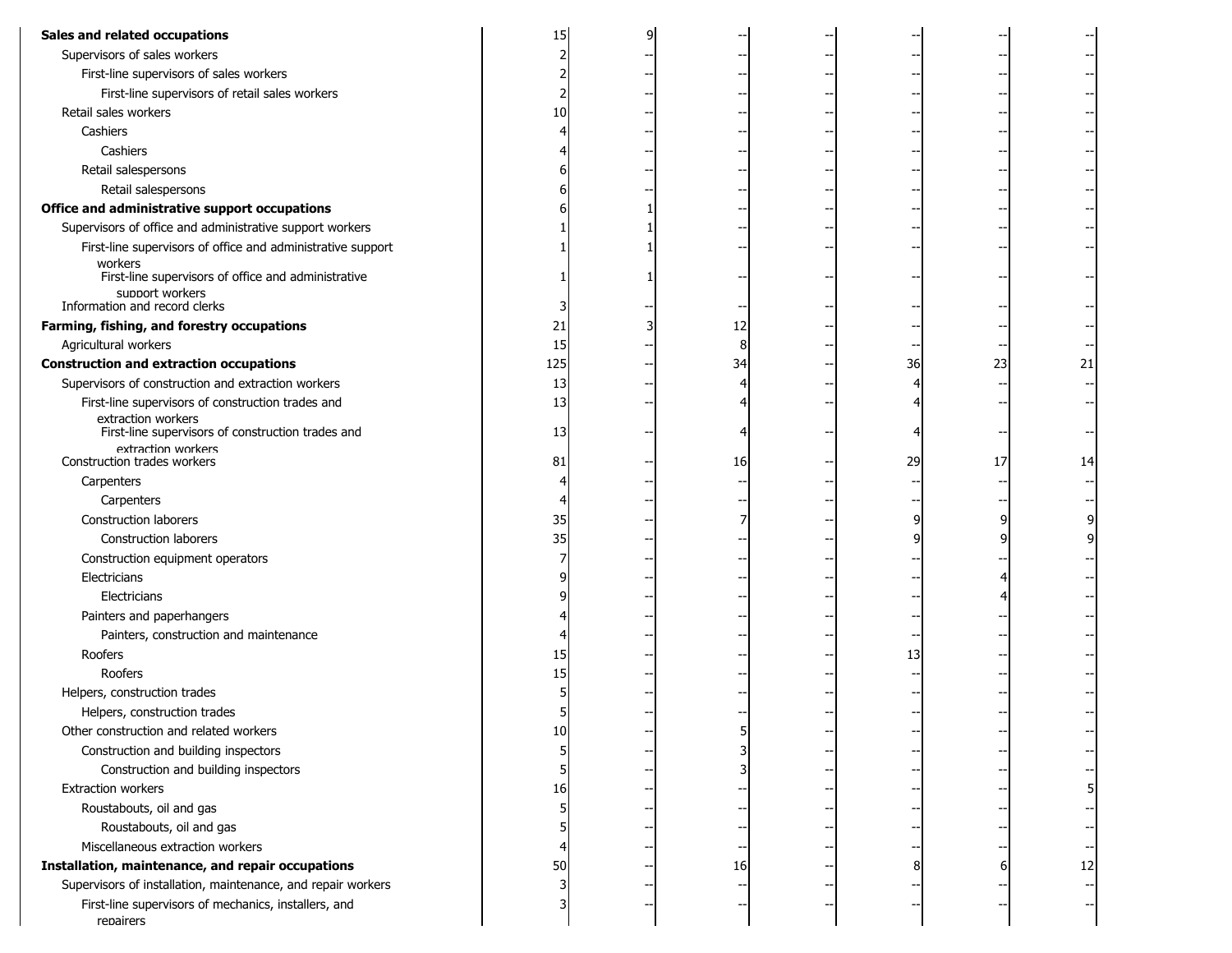| Sales and related occupations                                           |     |    |    |    |    |
|-------------------------------------------------------------------------|-----|----|----|----|----|
| Supervisors of sales workers                                            | 2   |    |    |    |    |
| First-line supervisors of sales workers                                 |     |    |    |    |    |
| First-line supervisors of retail sales workers                          |     |    |    |    |    |
| Retail sales workers                                                    | 10  |    |    |    |    |
| Cashiers                                                                |     |    |    |    |    |
| Cashiers                                                                |     |    |    |    |    |
| Retail salespersons                                                     |     |    |    |    |    |
| Retail salespersons                                                     |     |    |    |    |    |
| Office and administrative support occupations                           |     |    |    |    |    |
| Supervisors of office and administrative support workers                |     |    |    |    |    |
| First-line supervisors of office and administrative support             |     |    |    |    |    |
| workers<br>First-line supervisors of office and administrative          |     |    |    |    |    |
| support workers<br>Information and record clerks                        |     |    |    |    |    |
| Farming, fishing, and forestry occupations                              | 21  | 12 |    |    |    |
| Agricultural workers                                                    | 15  | 8  |    |    |    |
| <b>Construction and extraction occupations</b>                          | 125 | 34 | 36 | 23 | 21 |
| Supervisors of construction and extraction workers                      | 13  |    |    |    |    |
| First-line supervisors of construction trades and                       | 13  |    |    |    |    |
| extraction workers<br>First-line supervisors of construction trades and | 13  |    |    |    |    |
| extraction workers                                                      |     |    |    |    |    |
| Construction trades workers                                             | 81  | 16 | 29 | 17 | 14 |
| Carpenters                                                              |     |    |    |    |    |
| Carpenters                                                              |     |    |    |    |    |
| Construction laborers                                                   | 35  |    |    |    |    |
| <b>Construction laborers</b>                                            | 35  |    |    |    |    |
| Construction equipment operators                                        |     |    |    |    |    |
| Electricians                                                            |     |    |    |    |    |
| Electricians                                                            |     |    |    |    |    |
| Painters and paperhangers                                               |     |    |    |    |    |
| Painters, construction and maintenance                                  |     |    |    |    |    |
| Roofers                                                                 | 15  |    | 13 |    |    |
| Roofers                                                                 | 15  |    |    |    |    |
| Helpers, construction trades                                            |     |    |    |    |    |
| Helpers, construction trades                                            |     |    |    |    |    |
| Other construction and related workers                                  | 10  |    |    |    |    |
| Construction and building inspectors                                    | 5   |    |    |    |    |
| Construction and building inspectors                                    |     |    |    |    |    |
| Extraction workers                                                      | 16  |    |    |    | 51 |
| Roustabouts, oil and gas                                                | 5   |    |    |    |    |
| Roustabouts, oil and gas                                                |     |    |    |    |    |
| Miscellaneous extraction workers                                        |     |    |    |    |    |
| Installation, maintenance, and repair occupations                       | 50  | 16 |    |    | 12 |
| Supervisors of installation, maintenance, and repair workers            | 3   |    |    |    |    |
| First-line supervisors of mechanics, installers, and<br>repairers       |     |    |    |    |    |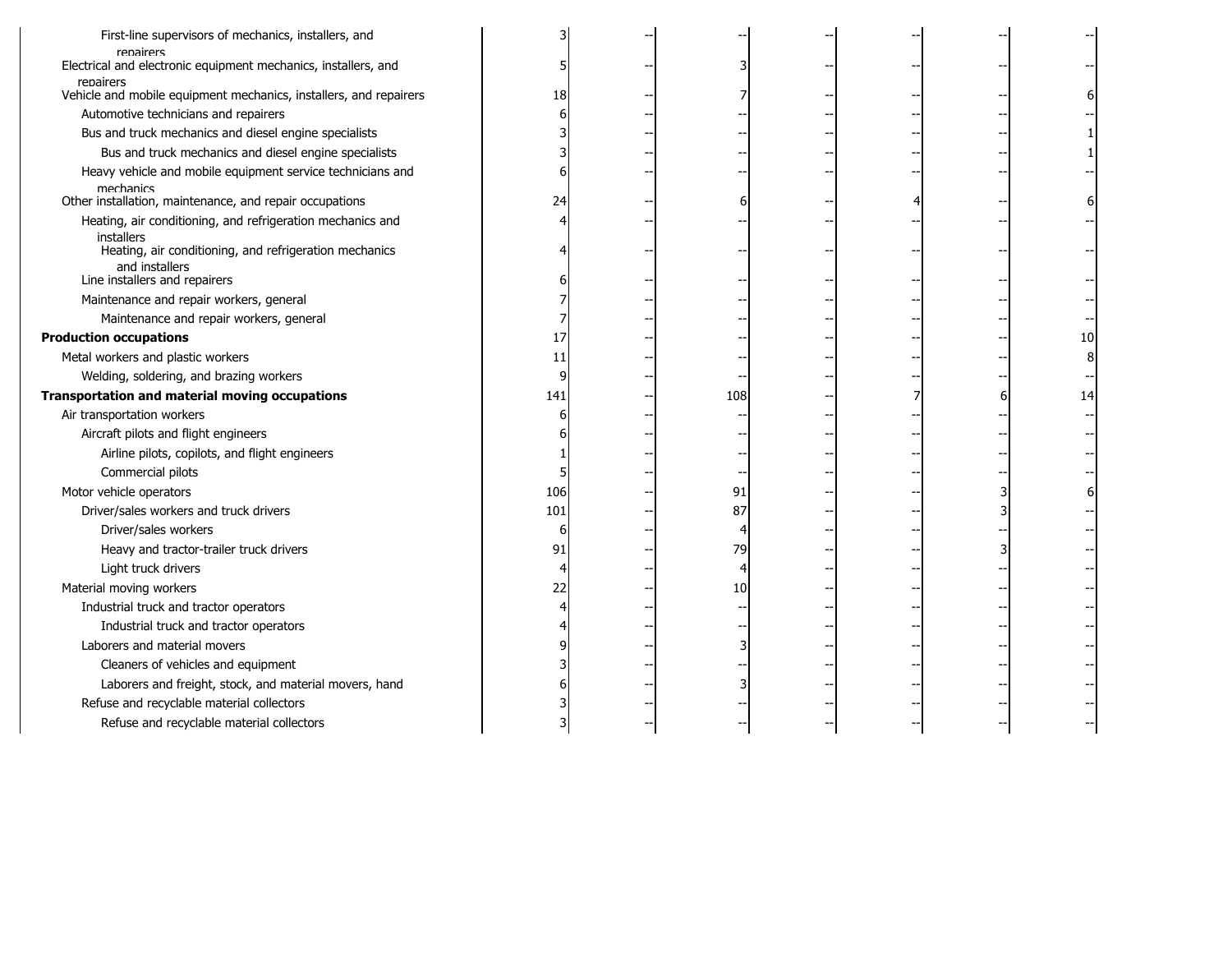| First-line supervisors of mechanics, installers, and                                     |     |     |  |   |    |
|------------------------------------------------------------------------------------------|-----|-----|--|---|----|
| repairers<br>Electrical and electronic equipment mechanics, installers, and<br>repairers |     |     |  |   |    |
| Vehicle and mobile equipment mechanics, installers, and repairers                        | 18  |     |  |   | 6  |
| Automotive technicians and repairers                                                     |     |     |  |   |    |
| Bus and truck mechanics and diesel engine specialists                                    |     |     |  |   |    |
| Bus and truck mechanics and diesel engine specialists                                    |     |     |  |   |    |
| Heavy vehicle and mobile equipment service technicians and                               |     |     |  |   |    |
| mechanics<br>Other installation, maintenance, and repair occupations                     | 24  |     |  |   |    |
| Heating, air conditioning, and refrigeration mechanics and                               |     |     |  |   |    |
| installers<br>Heating, air conditioning, and refrigeration mechanics<br>and installers   |     |     |  |   |    |
| Line installers and repairers                                                            |     |     |  |   |    |
| Maintenance and repair workers, general                                                  |     |     |  |   |    |
| Maintenance and repair workers, general                                                  |     |     |  |   |    |
| <b>Production occupations</b>                                                            | 17  |     |  |   | 10 |
| Metal workers and plastic workers                                                        | 11  |     |  |   | 8  |
| Welding, soldering, and brazing workers                                                  |     |     |  |   |    |
| Transportation and material moving occupations                                           | 141 | 108 |  | 6 | 14 |
| Air transportation workers                                                               |     |     |  |   |    |
| Aircraft pilots and flight engineers                                                     |     |     |  |   |    |
| Airline pilots, copilots, and flight engineers                                           |     |     |  |   |    |
| Commercial pilots                                                                        |     |     |  |   |    |
| Motor vehicle operators                                                                  | 106 | 91  |  |   | 6  |
| Driver/sales workers and truck drivers                                                   | 101 | 87  |  |   |    |
| Driver/sales workers                                                                     | 6   |     |  |   |    |
| Heavy and tractor-trailer truck drivers                                                  | 91  | 79  |  |   |    |
| Light truck drivers                                                                      |     |     |  |   |    |
| Material moving workers                                                                  | 22  | 10  |  |   |    |
| Industrial truck and tractor operators                                                   |     |     |  |   |    |
| Industrial truck and tractor operators                                                   |     |     |  |   |    |
| Laborers and material movers                                                             |     |     |  |   |    |
| Cleaners of vehicles and equipment                                                       |     |     |  |   |    |
| Laborers and freight, stock, and material movers, hand                                   |     |     |  |   |    |
| Refuse and recyclable material collectors                                                |     |     |  |   |    |
| Refuse and recyclable material collectors                                                |     |     |  |   |    |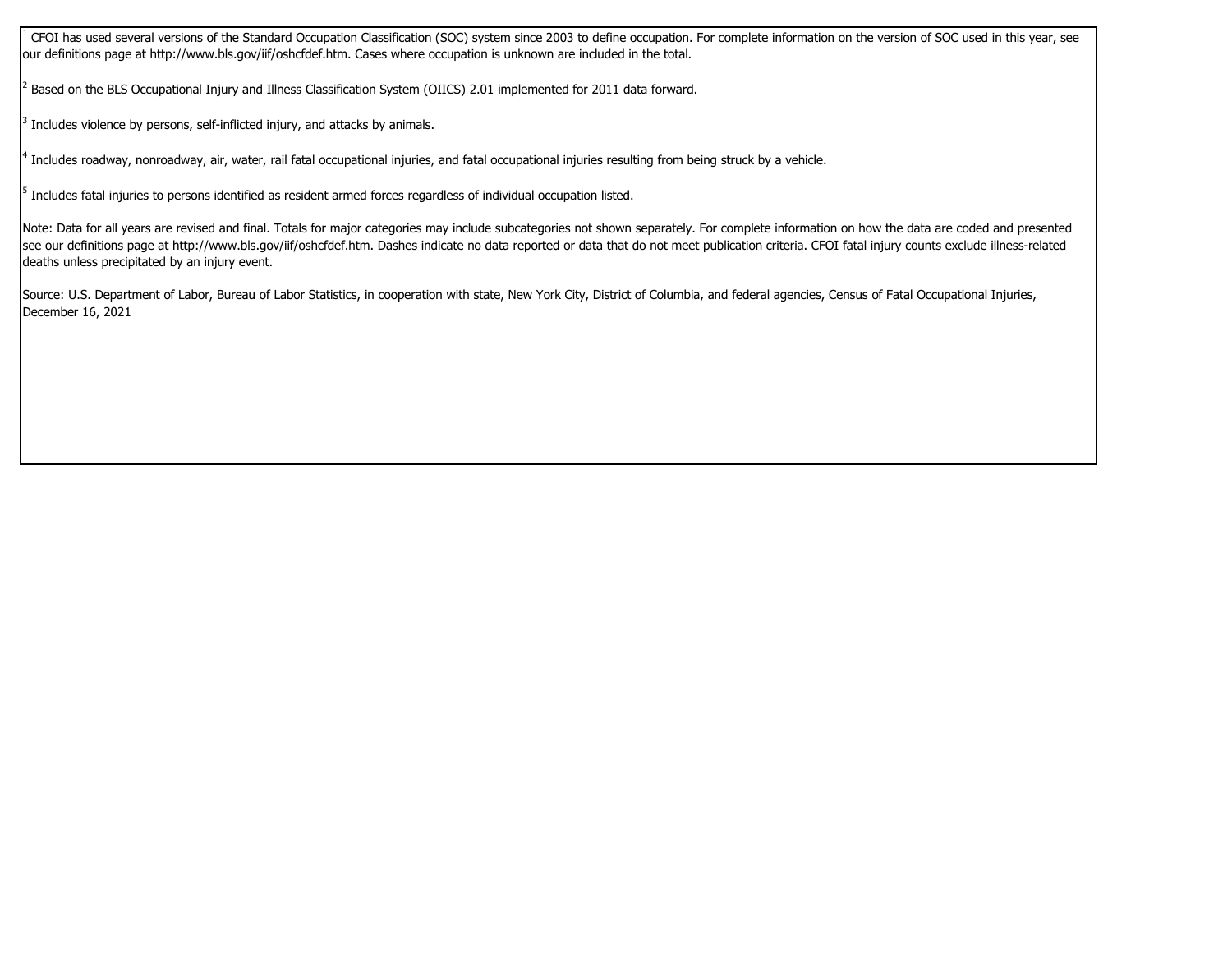$^1$  CFOI has used several versions of the Standard Occupation Classification (SOC) system since 2003 to define occupation. For complete information on the version of SOC used in this year, see our definitions page at http://www.bls.gov/iif/oshcfdef.htm. Cases where occupation is unknown are included in the total.

2 Based on the BLS Occupational Injury and Illness Classification System (OIICS) 2.01 implemented for 2011 data forward.

 $3$  Includes violence by persons, self-inflicted injury, and attacks by animals.

<sup>4</sup> Includes roadway, nonroadway, air, water, rail fatal occupational injuries, and fatal occupational injuries resulting from being struck by a vehicle.

 $^5$  Includes fatal injuries to persons identified as resident armed forces regardless of individual occupation listed.

Note: Data for all years are revised and final. Totals for major categories may include subcategories not shown separately. For complete information on how the data are coded and presented see our definitions page at http://www.bls.gov/iif/oshcfdef.htm. Dashes indicate no data reported or data that do not meet publication criteria. CFOI fatal injury counts exclude illness-related deaths unless precipitated by an injury event.

Source: U.S. Department of Labor, Bureau of Labor Statistics, in cooperation with state, New York City, District of Columbia, and federal agencies, Census of Fatal Occupational Injuries, December 16, 2021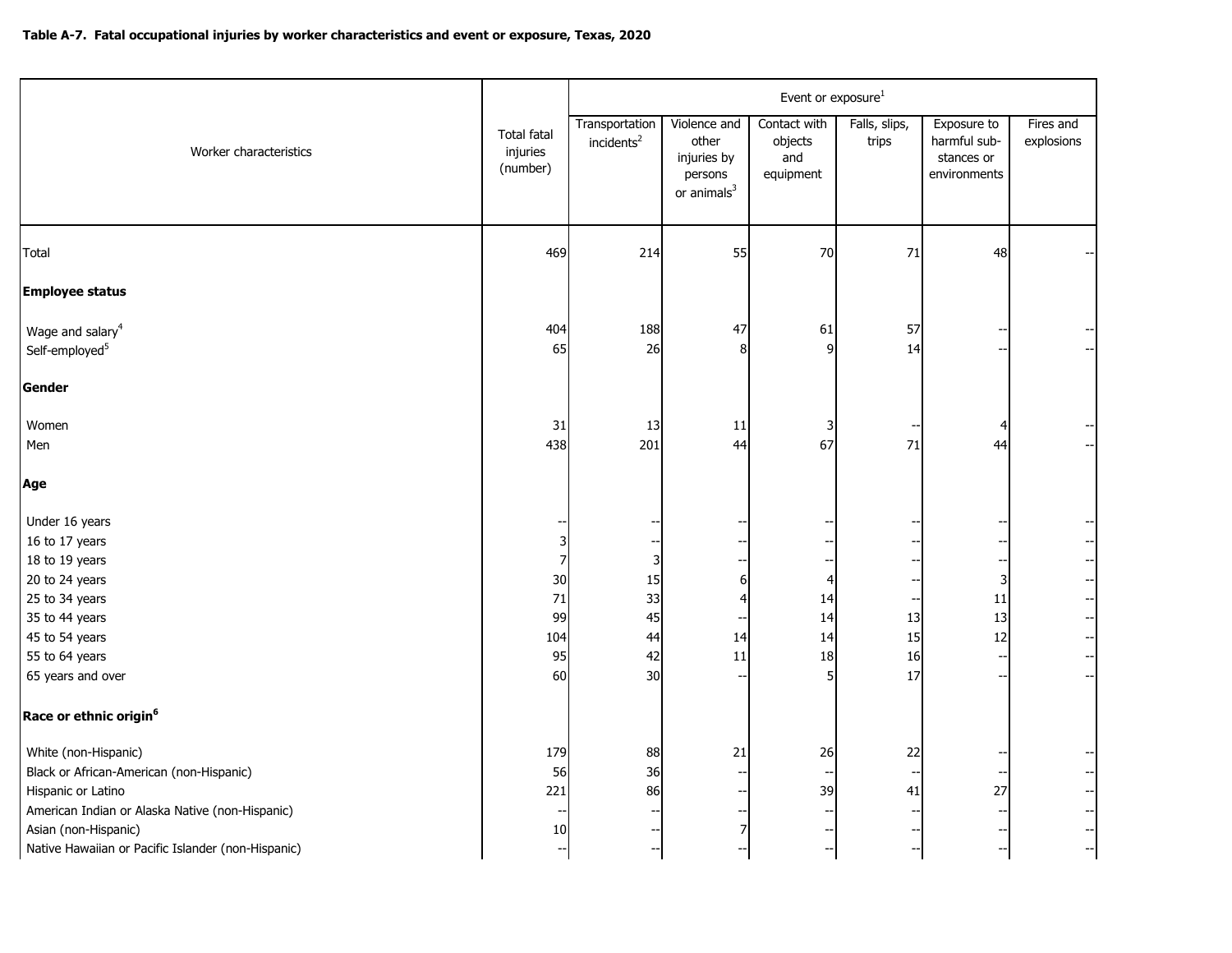|                                                                                                                                                                                                                         |                                                    | Event or exposure <sup>1</sup>           |                                                                            |                                             |                            |                                                                        |                                                                   |  |  |  |  |
|-------------------------------------------------------------------------------------------------------------------------------------------------------------------------------------------------------------------------|----------------------------------------------------|------------------------------------------|----------------------------------------------------------------------------|---------------------------------------------|----------------------------|------------------------------------------------------------------------|-------------------------------------------------------------------|--|--|--|--|
| Worker characteristics                                                                                                                                                                                                  | <b>Total fatal</b><br>injuries<br>(number)         | Transportation<br>incidents <sup>2</sup> | Violence and<br>other<br>injuries by<br>persons<br>or animals <sup>3</sup> | Contact with<br>objects<br>and<br>equipment | Falls, slips,<br>trips     | Exposure to<br>harmful sub-<br>stances or<br>environments              | Fires and<br>explosions                                           |  |  |  |  |
| Total                                                                                                                                                                                                                   | 469                                                | 214                                      | 55                                                                         | 70                                          | 71                         | 48                                                                     |                                                                   |  |  |  |  |
| <b>Employee status</b>                                                                                                                                                                                                  |                                                    |                                          |                                                                            |                                             |                            |                                                                        |                                                                   |  |  |  |  |
| Wage and salary <sup>4</sup><br>Self-employed <sup>5</sup>                                                                                                                                                              | 404<br>65                                          | 188<br>26                                | 47<br>8                                                                    | 61<br>$\mathsf{q}$                          | 57<br>14                   |                                                                        |                                                                   |  |  |  |  |
| Gender                                                                                                                                                                                                                  |                                                    |                                          |                                                                            |                                             |                            |                                                                        |                                                                   |  |  |  |  |
| Women<br>Men                                                                                                                                                                                                            | 31<br>438                                          | 13<br>201                                | 11<br>44                                                                   | 3<br>67                                     | 71                         | 4<br>44                                                                |                                                                   |  |  |  |  |
| Age                                                                                                                                                                                                                     |                                                    |                                          |                                                                            |                                             |                            |                                                                        |                                                                   |  |  |  |  |
| Under 16 years<br>16 to 17 years<br>18 to 19 years<br>20 to 24 years<br>25 to 34 years<br>35 to 44 years<br>45 to 54 years<br>55 to 64 years<br>65 years and over<br>Race or ethnic origin <sup>6</sup>                 | 3<br>7<br>30<br>71<br>99<br>104<br>95<br>60        | 3<br>15<br>33<br>45<br>44<br>42<br>30    | 6<br>$\overline{4}$<br>14<br>11                                            | 4<br>14<br>14<br>14<br>18<br>5              | --<br>13<br>15<br>16<br>17 | --<br>--<br>3<br>11<br>13<br>12<br>--<br>$\overline{\phantom{a}}$      | --1<br>$-$<br>~∣<br>$\overline{\phantom{a}}$<br>$-$<br>--1<br>$-$ |  |  |  |  |
| White (non-Hispanic)<br>Black or African-American (non-Hispanic)<br>Hispanic or Latino<br>American Indian or Alaska Native (non-Hispanic)<br>Asian (non-Hispanic)<br>Native Hawaiian or Pacific Islander (non-Hispanic) | 179<br>56<br>221<br>10<br>$\overline{\phantom{a}}$ | 88<br>36<br>86<br>--                     | 21<br>7                                                                    | 26<br>39<br>--                              | 22<br>--<br>41<br>$-$<br>÷ | −−<br>27<br>--<br>$\overline{\phantom{a}}$<br>$\overline{\phantom{a}}$ | --1<br>-- <br>-1<br>$\overline{\phantom{a}}$                      |  |  |  |  |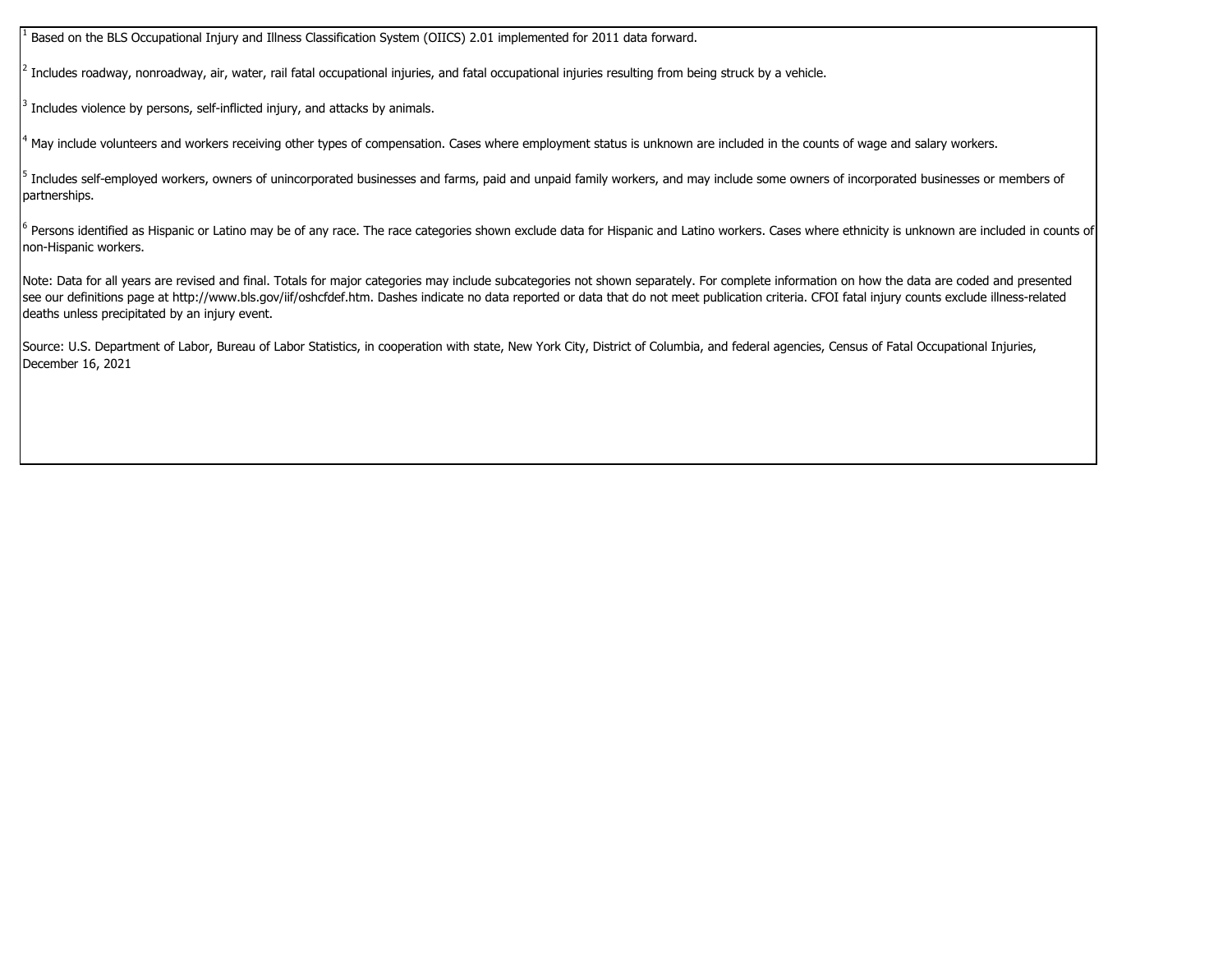1 Based on the BLS Occupational Injury and Illness Classification System (OIICS) 2.01 implemented for 2011 data forward.

 $^2$  Includes roadway, nonroadway, air, water, rail fatal occupational injuries, and fatal occupational injuries resulting from being struck by a vehicle.

 $3$  Includes violence by persons, self-inflicted injury, and attacks by animals.

<sup>4</sup> May include volunteers and workers receiving other types of compensation. Cases where employment status is unknown are included in the counts of wage and salary workers.

 $^5$  Includes self-employed workers, owners of unincorporated businesses and farms, paid and unpaid family workers, and may include some owners of incorporated businesses or members of partnerships.

 $^6$  Persons identified as Hispanic or Latino may be of any race. The race categories shown exclude data for Hispanic and Latino workers. Cases where ethnicity is unknown are included in counts of non-Hispanic workers.

Note: Data for all years are revised and final. Totals for major categories may include subcategories not shown separately. For complete information on how the data are coded and presented see our definitions page at http://www.bls.gov/iif/oshcfdef.htm. Dashes indicate no data reported or data that do not meet publication criteria. CFOI fatal injury counts exclude illness-related deaths unless precipitated by an injury event.

Source: U.S. Department of Labor, Bureau of Labor Statistics, in cooperation with state, New York City, District of Columbia, and federal agencies, Census of Fatal Occupational Injuries, December 16, 2021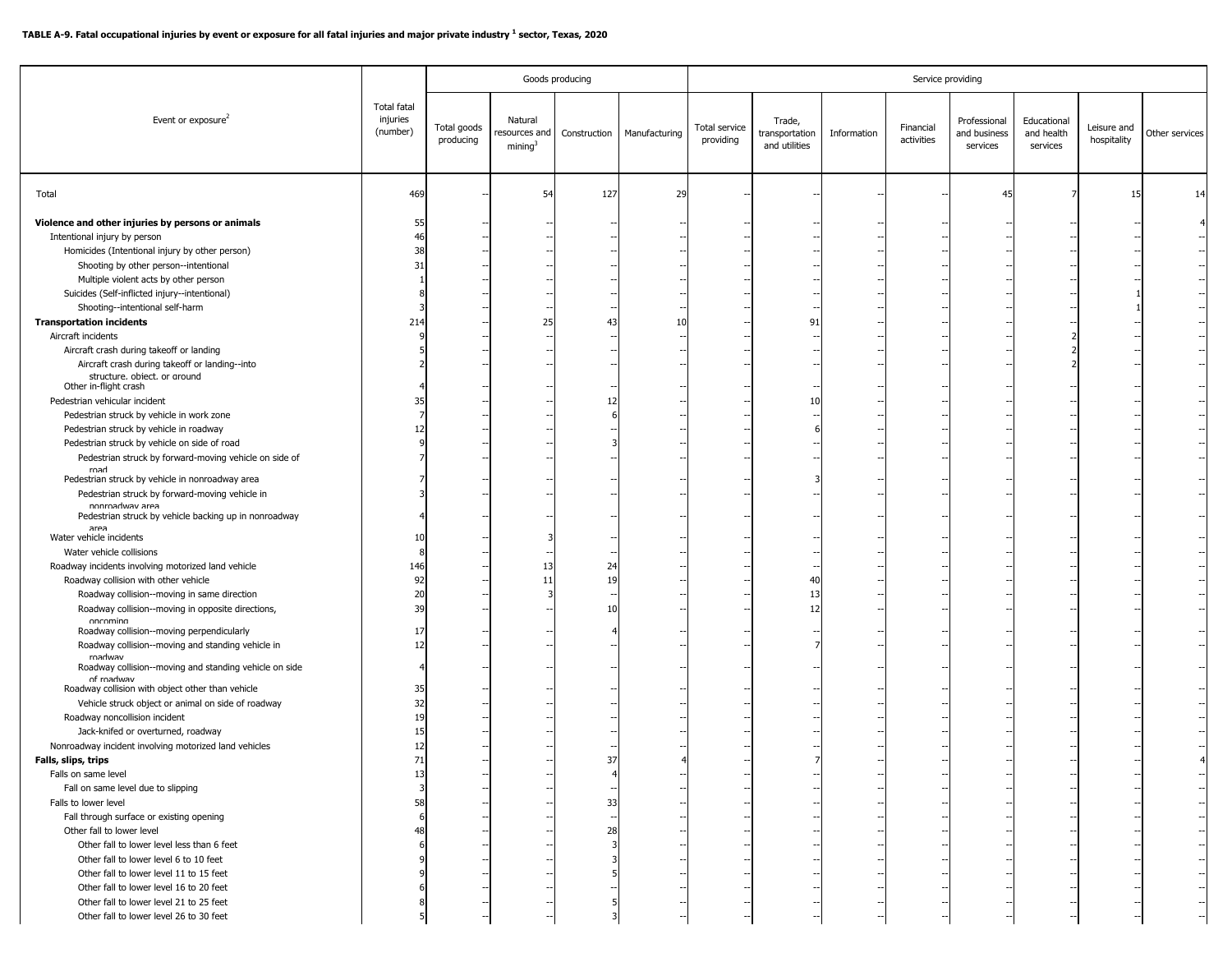|                                                                                                                            |                                            | Goods producing          |                                    |              |               |                            |                                           | Service providing |                         |                                          |                                       |                            |                |
|----------------------------------------------------------------------------------------------------------------------------|--------------------------------------------|--------------------------|------------------------------------|--------------|---------------|----------------------------|-------------------------------------------|-------------------|-------------------------|------------------------------------------|---------------------------------------|----------------------------|----------------|
| Event or exposure <sup>2</sup>                                                                                             | <b>Total fatal</b><br>injuries<br>(number) | Total goods<br>producing | Natural<br>resources and<br>mining | Construction | Manufacturing | Total service<br>providing | Trade,<br>transportation<br>and utilities | Information       | Financial<br>activities | Professional<br>and business<br>services | Educational<br>and health<br>services | Leisure and<br>hospitality | Other services |
| Total                                                                                                                      | 469                                        |                          | 54                                 | 127          | 29            |                            |                                           |                   |                         | 45                                       |                                       | 15                         | 14             |
| Violence and other injuries by persons or animals                                                                          | 55                                         |                          |                                    |              |               |                            |                                           |                   |                         |                                          |                                       |                            |                |
| Intentional injury by person                                                                                               | 46                                         |                          |                                    |              |               |                            |                                           |                   |                         |                                          |                                       |                            |                |
| Homicides (Intentional injury by other person)                                                                             | 38                                         |                          |                                    |              |               |                            |                                           |                   |                         |                                          |                                       |                            |                |
| Shooting by other person--intentional                                                                                      | 31                                         |                          |                                    |              |               |                            |                                           |                   |                         |                                          |                                       |                            |                |
| Multiple violent acts by other person                                                                                      |                                            |                          |                                    |              |               |                            |                                           |                   |                         |                                          |                                       |                            |                |
| Suicides (Self-inflicted injury--intentional)                                                                              |                                            |                          |                                    |              |               |                            |                                           |                   |                         |                                          |                                       |                            |                |
| Shooting--intentional self-harm<br><b>Transportation incidents</b>                                                         | 214                                        |                          | 25                                 | 43           | 10            |                            | 91                                        |                   |                         |                                          |                                       |                            |                |
| Aircraft incidents                                                                                                         |                                            |                          |                                    |              |               |                            |                                           |                   |                         |                                          |                                       |                            |                |
| Aircraft crash during takeoff or landing                                                                                   |                                            |                          |                                    |              |               |                            |                                           |                   |                         |                                          |                                       |                            |                |
| Aircraft crash during takeoff or landing--into                                                                             |                                            |                          |                                    |              |               |                            |                                           |                   |                         |                                          |                                       |                            |                |
| structure, object, or around                                                                                               |                                            |                          |                                    |              |               |                            |                                           |                   |                         |                                          |                                       |                            |                |
| Other in-flight crash                                                                                                      |                                            |                          |                                    |              |               |                            |                                           |                   |                         |                                          |                                       |                            |                |
| Pedestrian vehicular incident                                                                                              | 35                                         |                          |                                    | 12           |               |                            |                                           |                   |                         |                                          |                                       |                            |                |
| Pedestrian struck by vehicle in work zone<br>Pedestrian struck by vehicle in roadway                                       | 12                                         |                          |                                    |              |               |                            |                                           |                   |                         |                                          |                                       |                            |                |
| Pedestrian struck by vehicle on side of road                                                                               |                                            |                          |                                    |              |               |                            |                                           |                   |                         |                                          |                                       |                            |                |
| Pedestrian struck by forward-moving vehicle on side of                                                                     |                                            |                          |                                    |              |               |                            |                                           |                   |                         |                                          |                                       |                            |                |
| road                                                                                                                       |                                            |                          |                                    |              |               |                            |                                           |                   |                         |                                          |                                       |                            |                |
| Pedestrian struck by vehicle in nonroadway area                                                                            |                                            |                          |                                    |              |               |                            |                                           |                   |                         |                                          |                                       |                            |                |
| Pedestrian struck by forward-moving vehicle in<br>nonroadway area<br>Pedestrian struck by vehicle backing up in nonroadway |                                            |                          |                                    |              |               |                            |                                           |                   |                         |                                          |                                       |                            |                |
| area                                                                                                                       |                                            |                          |                                    |              |               |                            |                                           |                   |                         |                                          |                                       |                            |                |
| Water vehicle incidents                                                                                                    | 10                                         |                          |                                    |              |               |                            |                                           |                   |                         |                                          |                                       |                            |                |
| Water vehicle collisions<br>Roadway incidents involving motorized land vehicle                                             | 146                                        |                          | 13                                 | 24           |               |                            |                                           |                   |                         |                                          |                                       |                            |                |
| Roadway collision with other vehicle                                                                                       | 92                                         |                          | 11                                 | 19           |               |                            | 40                                        |                   |                         |                                          |                                       |                            |                |
| Roadway collision--moving in same direction                                                                                | 20                                         |                          |                                    |              |               |                            | 13                                        |                   |                         |                                          |                                       |                            |                |
| Roadway collision--moving in opposite directions,                                                                          | 39                                         |                          |                                    | 10           |               |                            | 12                                        |                   |                         |                                          |                                       |                            |                |
| oncomina                                                                                                                   |                                            |                          |                                    |              |               |                            |                                           |                   |                         |                                          |                                       |                            |                |
| Roadway collision--moving perpendicularly                                                                                  | 17                                         |                          |                                    |              |               |                            |                                           |                   |                         |                                          |                                       |                            |                |
| Roadway collision--moving and standing vehicle in<br>roadway                                                               | 12                                         |                          |                                    |              |               |                            |                                           |                   |                         |                                          |                                       |                            |                |
| Roadway collision--moving and standing vehicle on side                                                                     |                                            |                          |                                    |              |               |                            |                                           |                   |                         |                                          |                                       |                            |                |
| of roadwav<br>Roadway collision with object other than vehicle                                                             | 35                                         |                          |                                    |              |               |                            |                                           |                   |                         |                                          |                                       |                            |                |
| Vehicle struck object or animal on side of roadway                                                                         | 32                                         |                          |                                    |              |               |                            |                                           |                   |                         |                                          |                                       |                            |                |
| Roadway noncollision incident                                                                                              | 19                                         |                          |                                    |              |               |                            |                                           |                   |                         |                                          |                                       |                            |                |
| Jack-knifed or overturned, roadway                                                                                         | 15                                         |                          |                                    |              |               |                            |                                           |                   |                         |                                          |                                       |                            |                |
| Nonroadway incident involving motorized land vehicles                                                                      | 12                                         |                          |                                    |              |               |                            |                                           |                   |                         |                                          |                                       |                            |                |
| Falls, slips, trips                                                                                                        | 71                                         |                          |                                    | 37           |               |                            |                                           |                   |                         |                                          |                                       |                            |                |
| Falls on same level                                                                                                        | 13                                         |                          |                                    |              |               |                            |                                           |                   |                         |                                          |                                       |                            |                |
| Fall on same level due to slipping                                                                                         | -3                                         |                          |                                    |              |               |                            |                                           |                   |                         |                                          |                                       |                            |                |
| Falls to lower level                                                                                                       | 58                                         |                          |                                    | 33           |               |                            |                                           |                   |                         |                                          |                                       |                            |                |
| Fall through surface or existing opening<br>Other fall to lower level                                                      | 48                                         |                          |                                    | 28           |               |                            |                                           |                   |                         |                                          |                                       |                            |                |
| Other fall to lower level less than 6 feet                                                                                 |                                            |                          |                                    |              |               |                            |                                           |                   |                         |                                          |                                       |                            |                |
| Other fall to lower level 6 to 10 feet                                                                                     |                                            |                          |                                    |              |               |                            |                                           |                   |                         |                                          |                                       |                            |                |
| Other fall to lower level 11 to 15 feet                                                                                    |                                            |                          |                                    |              |               |                            |                                           |                   |                         |                                          |                                       |                            |                |
| Other fall to lower level 16 to 20 feet                                                                                    |                                            |                          |                                    |              |               |                            |                                           |                   |                         |                                          |                                       |                            |                |
| Other fall to lower level 21 to 25 feet                                                                                    |                                            |                          |                                    |              |               |                            |                                           |                   |                         |                                          |                                       |                            |                |
| Other fall to lower level 26 to 30 feet                                                                                    |                                            |                          |                                    |              |               |                            |                                           |                   |                         |                                          |                                       |                            |                |